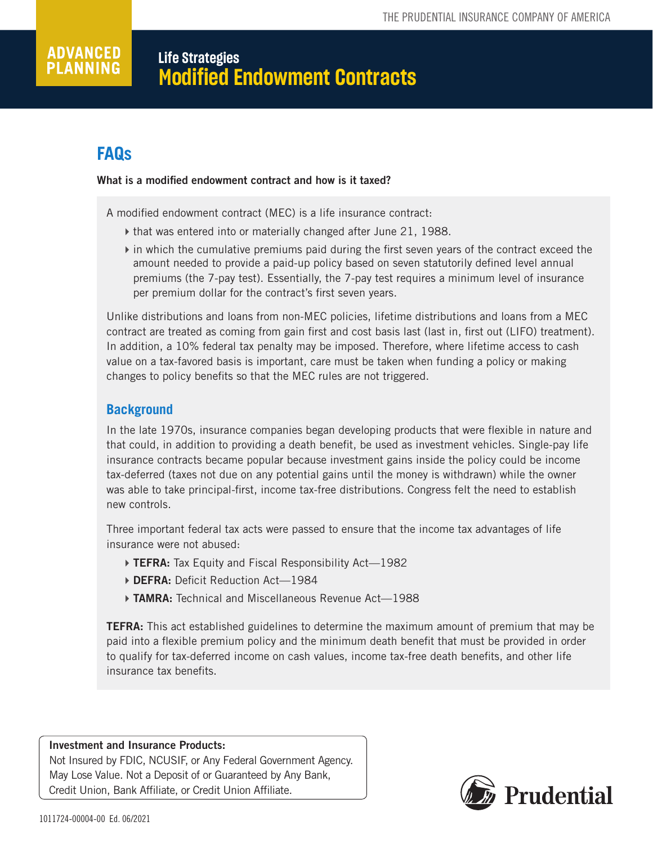#### **ADVANCED Life Strategies PLANNING Modified Endowment Contracts**

# **FAQs**

#### What is a modified endowment contract and how is it taxed?

A modified endowment contract (MEC) is a life insurance contract:

- that was entered into or materially changed after June 21, 1988.
- $\triangleright$  in which the cumulative premiums paid during the first seven years of the contract exceed the amount needed to provide a paid-up policy based on seven statutorily defined level annual premiums (the 7-pay test). Essentially, the 7-pay test requires a minimum level of insurance per premium dollar for the contract's first seven years.

Unlike distributions and loans from non-MEC policies, lifetime distributions and loans from a MEC contract are treated as coming from gain first and cost basis last (last in, first out (LIFO) treatment). In addition, a 10% federal tax penalty may be imposed. Therefore, where lifetime access to cash value on a tax-favored basis is important, care must be taken when funding a policy or making changes to policy benefits so that the MEC rules are not triggered.

## **Background**

In the late 1970s, insurance companies began developing products that were flexible in nature and that could, in addition to providing a death benefit, be used as investment vehicles. Single-pay life insurance contracts became popular because investment gains inside the policy could be income tax-deferred (taxes not due on any potential gains until the money is withdrawn) while the owner was able to take principal-first, income tax-free distributions. Congress felt the need to establish new controls.

Three important federal tax acts were passed to ensure that the income tax advantages of life insurance were not abused:

- ▶ TEFRA: Tax Equity and Fiscal Responsibility Act-1982
- ▶ DEFRA: Deficit Reduction Act-1984
- ▶ TAMRA: Technical and Miscellaneous Revenue Act-1988

**TEFRA:** This act established guidelines to determine the maximum amount of premium that may be paid into a flexible premium policy and the minimum death benefit that must be provided in order to qualify for tax-deferred income on cash values, income tax-free death benefits, and other life insurance tax benefits.

#### Investment and Insurance Products:

Not Insured by FDIC, NCUSIF, or Any Federal Government Agency. May Lose Value. Not a Deposit of or Guaranteed by Any Bank, Credit Union, Bank Affiliate, or Credit Union Affiliate.

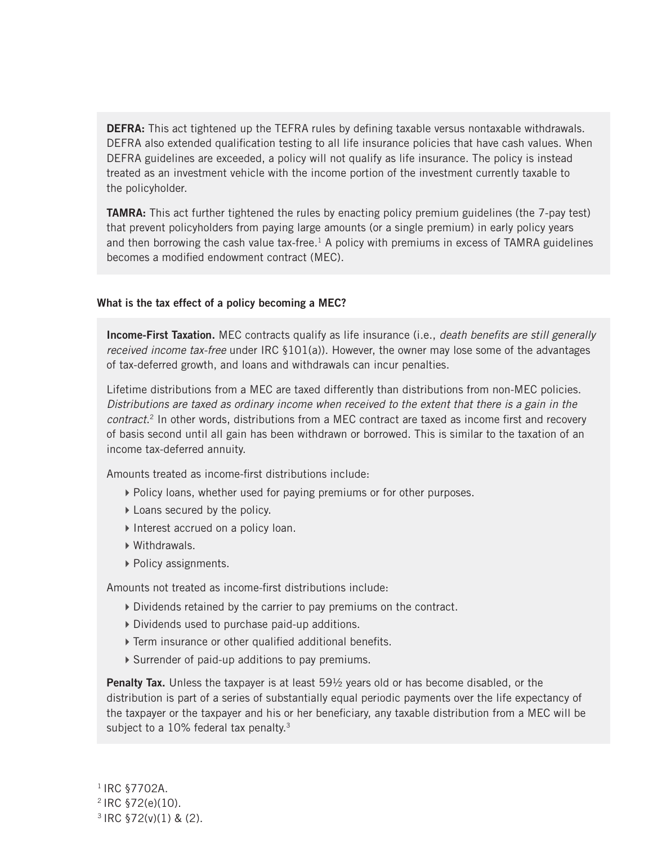DEFRA: This act tightened up the TEFRA rules by defining taxable versus nontaxable withdrawals. DEFRA also extended qualification testing to all life insurance policies that have cash values. When DEFRA guidelines are exceeded, a policy will not qualify as life insurance. The policy is instead treated as an investment vehicle with the income portion of the investment currently taxable to the policyholder.

TAMRA: This act further tightened the rules by enacting policy premium guidelines (the 7-pay test) that prevent policyholders from paying large amounts (or a single premium) in early policy years and then borrowing the cash value tax-free.<sup>1</sup> A policy with premiums in excess of TAMRA guidelines becomes a modified endowment contract (MEC).

#### What is the tax effect of a policy becoming a MEC?

Income-First Taxation. MEC contracts qualify as life insurance (i.e., *death benefits are still generally received income tax-free* under IRC §101(a)). However, the owner may lose some of the advantages of tax-deferred growth, and loans and withdrawals can incur penalties.

Lifetime distributions from a MEC are taxed differently than distributions from non-MEC policies. *Distributions are taxed as ordinary income when received to the extent that there is a gain in the contract*. 2 In other words, distributions from a MEC contract are taxed as income first and recovery of basis second until all gain has been withdrawn or borrowed. This is similar to the taxation of an income tax-deferred annuity.

Amounts treated as income-first distributions include:

- Policy loans, whether used for paying premiums or for other purposes.
- Loans secured by the policy.
- Interest accrued on a policy loan.
- Withdrawals.
- ▶ Policy assignments.

Amounts not treated as income-first distributions include:

- Dividends retained by the carrier to pay premiums on the contract.
- Dividends used to purchase paid-up additions.
- Term insurance or other qualified additional benefits.
- Surrender of paid-up additions to pay premiums.

**Penalty Tax.** Unless the taxpayer is at least  $59\frac{1}{2}$  years old or has become disabled, or the distribution is part of a series of substantially equal periodic payments over the life expectancy of the taxpayer or the taxpayer and his or her beneficiary, any taxable distribution from a MEC will be subject to a 10% federal tax penalty.<sup>3</sup>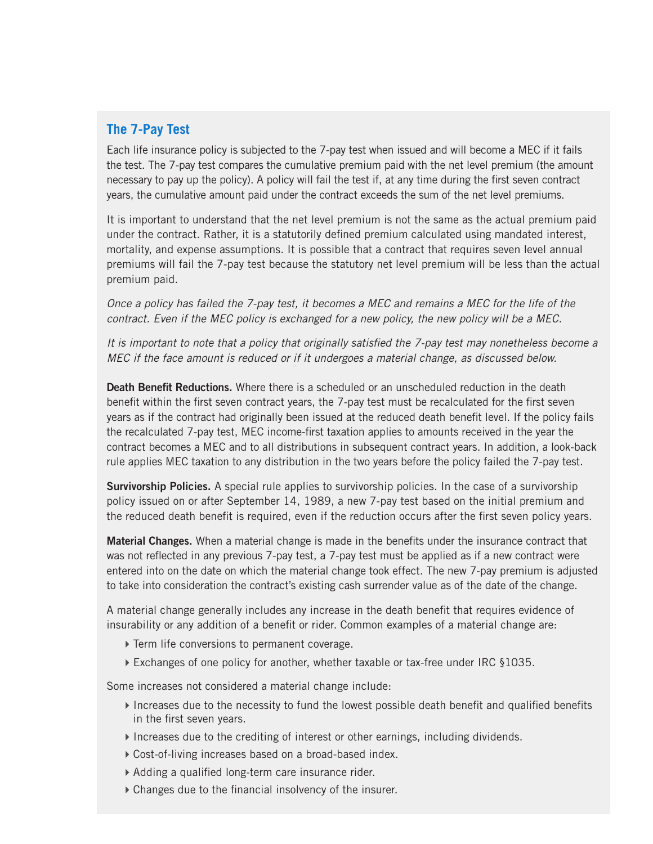#### **The 7-Pay Test**

Each life insurance policy is subjected to the 7-pay test when issued and will become a MEC if it fails the test. The 7-pay test compares the cumulative premium paid with the net level premium (the amount necessary to pay up the policy). A policy will fail the test if, at any time during the first seven contract years, the cumulative amount paid under the contract exceeds the sum of the net level premiums.

It is important to understand that the net level premium is not the same as the actual premium paid under the contract. Rather, it is a statutorily defined premium calculated using mandated interest, mortality, and expense assumptions. It is possible that a contract that requires seven level annual premiums will fail the 7-pay test because the statutory net level premium will be less than the actual premium paid.

*Once a policy has failed the 7-pay test, it becomes a MEC and remains a MEC for the life of the contract. Even if the MEC policy is exchanged for a new policy, the new policy will be a MEC.*

*It is important to note that a policy that originally satisfied the 7-pay test may nonetheless become a MEC if the face amount is reduced or if it undergoes a material change, as discussed below.*

Death Benefit Reductions. Where there is a scheduled or an unscheduled reduction in the death benefit within the first seven contract years, the 7-pay test must be recalculated for the first seven years as if the contract had originally been issued at the reduced death benefit level. If the policy fails the recalculated 7-pay test, MEC income-first taxation applies to amounts received in the year the contract becomes a MEC and to all distributions in subsequent contract years. In addition, a look-back rule applies MEC taxation to any distribution in the two years before the policy failed the 7-pay test.

Survivorship Policies. A special rule applies to survivorship policies. In the case of a survivorship policy issued on or after September 14, 1989, a new 7-pay test based on the initial premium and the reduced death benefit is required, even if the reduction occurs after the first seven policy years.

Material Changes. When a material change is made in the benefits under the insurance contract that was not reflected in any previous 7-pay test, a 7-pay test must be applied as if a new contract were entered into on the date on which the material change took effect. The new 7-pay premium is adjusted to take into consideration the contract's existing cash surrender value as of the date of the change.

A material change generally includes any increase in the death benefit that requires evidence of insurability or any addition of a benefit or rider. Common examples of a material change are:

- Term life conversions to permanent coverage.
- ▶ Exchanges of one policy for another, whether taxable or tax-free under IRC §1035.

Some increases not considered a material change include:

- $\blacktriangleright$  Increases due to the necessity to fund the lowest possible death benefit and qualified benefits in the first seven years.
- Increases due to the crediting of interest or other earnings, including dividends.
- Cost-of-living increases based on a broad-based index.
- Adding a qualified long-term care insurance rider.
- Changes due to the financial insolvency of the insurer.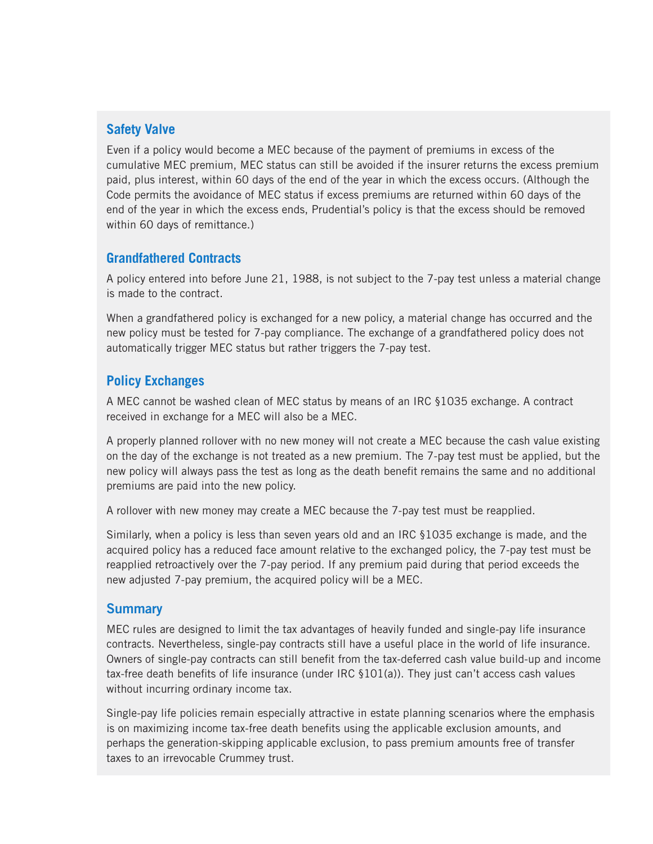# **Safety Valve**

Even if a policy would become a MEC because of the payment of premiums in excess of the cumulative MEC premium, MEC status can still be avoided if the insurer returns the excess premium paid, plus interest, within 60 days of the end of the year in which the excess occurs. (Although the Code permits the avoidance of MEC status if excess premiums are returned within 60 days of the end of the year in which the excess ends, Prudential's policy is that the excess should be removed within 60 days of remittance.)

## **Grandfathered Contracts**

A policy entered into before June 21, 1988, is not subject to the 7-pay test unless a material change is made to the contract.

When a grandfathered policy is exchanged for a new policy, a material change has occurred and the new policy must be tested for 7-pay compliance. The exchange of a grandfathered policy does not automatically trigger MEC status but rather triggers the 7-pay test.

# **Policy Exchanges**

A MEC cannot be washed clean of MEC status by means of an IRC §1035 exchange. A contract received in exchange for a MEC will also be a MEC.

A properly planned rollover with no new money will not create a MEC because the cash value existing on the day of the exchange is not treated as a new premium. The 7-pay test must be applied, but the new policy will always pass the test as long as the death benefit remains the same and no additional premiums are paid into the new policy.

A rollover with new money may create a MEC because the 7-pay test must be reapplied.

Similarly, when a policy is less than seven years old and an IRC §1035 exchange is made, and the acquired policy has a reduced face amount relative to the exchanged policy, the 7-pay test must be reapplied retroactively over the 7-pay period. If any premium paid during that period exceeds the new adjusted 7-pay premium, the acquired policy will be a MEC.

## **Summary**

MEC rules are designed to limit the tax advantages of heavily funded and single-pay life insurance contracts. Nevertheless, single-pay contracts still have a useful place in the world of life insurance. Owners of single-pay contracts can still benefit from the tax-deferred cash value build-up and income tax-free death benefits of life insurance (under IRC §101(a)). They just can't access cash values without incurring ordinary income tax.

Single-pay life policies remain especially attractive in estate planning scenarios where the emphasis is on maximizing income tax-free death benefits using the applicable exclusion amounts, and perhaps the generation-skipping applicable exclusion, to pass premium amounts free of transfer taxes to an irrevocable Crummey trust.